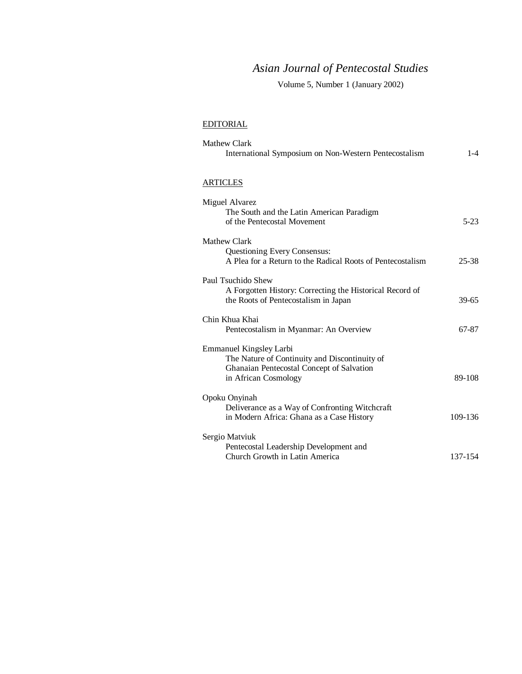# *Asian Journal of Pentecostal Studies*

Volume 5, Number 1 (January 2002)

## EDITORIAL

| Mathew Clark<br>International Symposium on Non-Western Pentecostalism                                                                                | $1 - 4$   |
|------------------------------------------------------------------------------------------------------------------------------------------------------|-----------|
| <b>ARTICLES</b>                                                                                                                                      |           |
| Miguel Alvarez<br>The South and the Latin American Paradigm<br>of the Pentecostal Movement                                                           | $5 - 23$  |
| Mathew Clark<br><b>Questioning Every Consensus:</b><br>A Plea for a Return to the Radical Roots of Pentecostalism                                    | $25 - 38$ |
| Paul Tsuchido Shew<br>A Forgotten History: Correcting the Historical Record of<br>the Roots of Pentecostalism in Japan                               | 39-65     |
| Chin Khua Khai<br>Pentecostalism in Myanmar: An Overview                                                                                             | 67-87     |
| <b>Emmanuel Kingsley Larbi</b><br>The Nature of Continuity and Discontinuity of<br>Ghanaian Pentecostal Concept of Salvation<br>in African Cosmology | 89-108    |
| Opoku Onyinah<br>Deliverance as a Way of Confronting Witchcraft<br>in Modern Africa: Ghana as a Case History                                         | 109-136   |
| Sergio Matviuk<br>Pentecostal Leadership Development and<br>Church Growth in Latin America                                                           | 137-154   |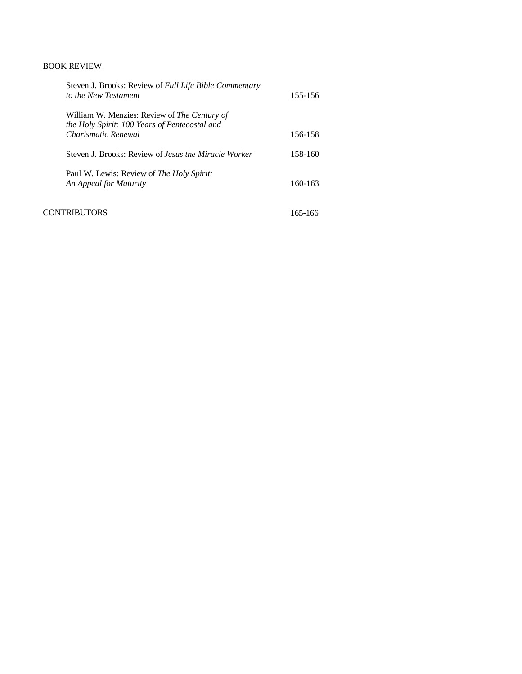# BOOK REVIEW

|      | Steven J. Brooks: Review of Full Life Bible Commentary<br>to the New Testament                                       | 155-156 |  |
|------|----------------------------------------------------------------------------------------------------------------------|---------|--|
|      | William W. Menzies: Review of The Century of<br>the Holy Spirit: 100 Years of Pentecostal and<br>Charismatic Renewal | 156-158 |  |
|      | Steven J. Brooks: Review of <i>Jesus the Miracle Worker</i>                                                          | 158-160 |  |
|      | Paul W. Lewis: Review of The Holy Spirit:<br>An Appeal for Maturity                                                  | 160-163 |  |
| CONT | FRIBUTORS                                                                                                            | 165-166 |  |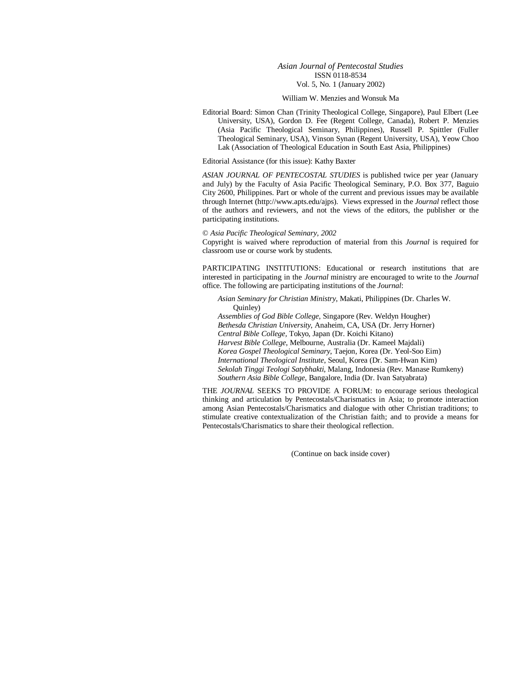### *Asian Journal of Pentecostal Studies* ISSN 0118-8534 Vol. 5, No. 1 (January 2002)

#### William W. Menzies and Wonsuk Ma

Editorial Board: Simon Chan (Trinity Theological College, Singapore), Paul Elbert (Lee University, USA), Gordon D. Fee (Regent College, Canada), Robert P. Menzies (Asia Pacific Theological Seminary, Philippines), Russell P. Spittler (Fuller Theological Seminary, USA), Vinson Synan (Regent University, USA), Yeow Choo Lak (Association of Theological Education in South East Asia, Philippines)

Editorial Assistance (for this issue): Kathy Baxter

*ASIAN JOURNAL OF PENTECOSTAL STUDIES* is published twice per year (January and July) by the Faculty of Asia Pacific Theological Seminary, P.O. Box 377, Baguio City 2600, Philippines. Part or whole of the current and previous issues may be available through Internet (http://www.apts.edu/ajps). Views expressed in the *Journal* reflect those of the authors and reviewers, and not the views of the editors, the publisher or the participating institutions.

#### © *Asia Pacific Theological Seminary, 2002*

Copyright is waived where reproduction of material from this *Journal* is required for classroom use or course work by students.

PARTICIPATING INSTITUTIONS: Educational or research institutions that are interested in participating in the *Journal* ministry are encouraged to write to the *Journal* office. The following are participating institutions of the *Journal*:

*Asian Seminary for Christian Ministry*, Makati, Philippines (Dr. Charles W. Quinley) *Assemblies of God Bible College*, Singapore (Rev. Weldyn Hougher) *Bethesda Christian University*, Anaheim, CA, USA (Dr. Jerry Horner) *Central Bible College,* Tokyo, Japan (Dr. Koichi Kitano) *Harvest Bible College*, Melbourne, Australia (Dr. Kameel Majdali) *Korea Gospel Theological Seminary*, Taejon, Korea (Dr. Yeol-Soo Eim) *International Theological Institute*, Seoul, Korea (Dr. Sam-Hwan Kim) *Sekolah Tinggi Teologi Satybhakti*, Malang, Indonesia (Rev. Manase Rumkeny) *Southern Asia Bible College*, Bangalore, India (Dr. Ivan Satyabrata)

THE *JOURNAL* SEEKS TO PROVIDE A FORUM: to encourage serious theological thinking and articulation by Pentecostals/Charismatics in Asia; to promote interaction among Asian Pentecostals/Charismatics and dialogue with other Christian traditions; to stimulate creative contextualization of the Christian faith; and to provide a means for Pentecostals/Charismatics to share their theological reflection.

(Continue on back inside cover)